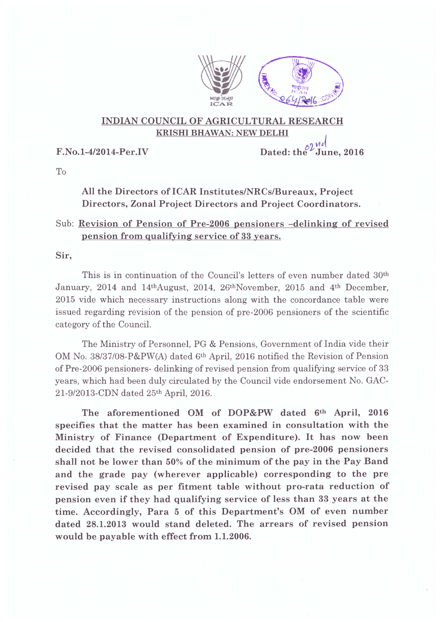

## INDIAN COUNCIL OF AGRICULTURAL RESEARCH KRISHI BHAWAN: NEW DELHI

F.No.1-4/2014-Per.IV Dated: the  $\frac{\partial \mathcal{U}^d}{\partial u}$ 

To

All the Directors of ICAR Institutes/NRCs/Bureaux, Project Directors, Zonal Project Directors and Project Coordinators.

## Sub: Revision of Pension of Pre-2006 pensioners -delinking of revised pension from qualifying service of 33 years.

Sir,

This is in continuation of the Council's letters of even number dated 30th January, 2014 and 14thAugust, 2014, 26thNovember, 2015 and 4th December, 2015 vide which necessary instructions along with the concordance table were issued regarding revision of the pension of pre-2006 pensioners of the scientific category of the Council.

The Ministry of Personnel, PG & Pensions, Government of India vide their OM No. *38/37/08-P&PW(A)* dated 6th April, 2016 notified the Revision of Pension of Pre-2006 pensioners- de linking of revised pension from qualifying service of 33 years, which had been duly circulated by the Council vide endorsement No. GAC-*21-9/2013-CDN* dated 25th April, 2016.

The aforementioned OM of DOP&PW dated 6th April, 2016 specifies that the matter has been examined in consultation with the Ministry of Finance (Department of Expenditure). It has now been decided that the revised consolidated pension of pre-2006 pensioners shall not be lower than 50% of the minimum of the pay in the Pay Band and the grade pay (wherever applicable) corresponding to the pre revised pay scale as per fitment table without pro-rata reduction of pension even if they had qualifying service of less than 33 years at the time. Accordingly, Para 5 of this Department's OM of even number dated 28.1.2013 would stand deleted. The arrears of revised pension would be payable with effect from 1.1.2006.